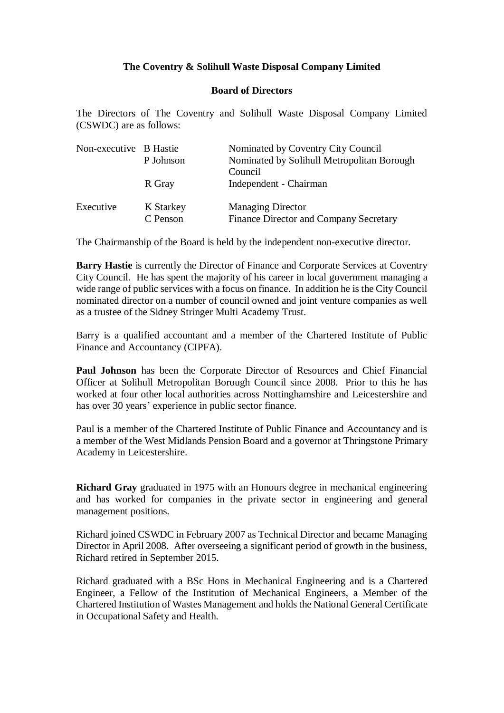## **The Coventry & Solihull Waste Disposal Company Limited**

## **Board of Directors**

The Directors of The Coventry and Solihull Waste Disposal Company Limited (CSWDC) are as follows:

| Non-executive B Hastie | P Johnson             | Nominated by Coventry City Council<br>Nominated by Solihull Metropolitan Borough<br>Council |
|------------------------|-----------------------|---------------------------------------------------------------------------------------------|
|                        | R Gray                | Independent - Chairman                                                                      |
| Executive              | K Starkey<br>C Penson | <b>Managing Director</b><br>Finance Director and Company Secretary                          |

The Chairmanship of the Board is held by the independent non-executive director.

**Barry Hastie** is currently the Director of Finance and Corporate Services at Coventry City Council. He has spent the majority of his career in local government managing a wide range of public services with a focus on finance. In addition he is the City Council nominated director on a number of council owned and joint venture companies as well as a trustee of the Sidney Stringer Multi Academy Trust.

Barry is a qualified accountant and a member of the Chartered Institute of Public Finance and Accountancy (CIPFA).

**Paul Johnson** has been the Corporate Director of Resources and Chief Financial Officer at Solihull Metropolitan Borough Council since 2008. Prior to this he has worked at four other local authorities across Nottinghamshire and Leicestershire and has over 30 years' experience in public sector finance.

Paul is a member of the Chartered Institute of Public Finance and Accountancy and is a member of the West Midlands Pension Board and a governor at Thringstone Primary Academy in Leicestershire.

**Richard Gray** graduated in 1975 with an Honours degree in mechanical engineering and has worked for companies in the private sector in engineering and general management positions.

Richard joined CSWDC in February 2007 as Technical Director and became Managing Director in April 2008. After overseeing a significant period of growth in the business, Richard retired in September 2015.

Richard graduated with a BSc Hons in Mechanical Engineering and is a Chartered Engineer, a Fellow of the Institution of Mechanical Engineers, a Member of the Chartered Institution of Wastes Management and holds the National General Certificate in Occupational Safety and Health.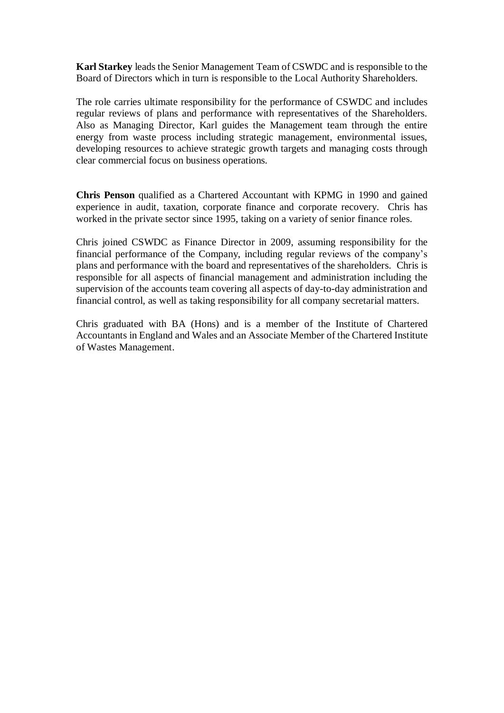**Karl Starkey** leads the Senior Management Team of CSWDC and is responsible to the Board of Directors which in turn is responsible to the Local Authority Shareholders.

The role carries ultimate responsibility for the performance of CSWDC and includes regular reviews of plans and performance with representatives of the Shareholders. Also as Managing Director, Karl guides the Management team through the entire energy from waste process including strategic management, environmental issues, developing resources to achieve strategic growth targets and managing costs through clear commercial focus on business operations.

**Chris Penson** qualified as a Chartered Accountant with KPMG in 1990 and gained experience in audit, taxation, corporate finance and corporate recovery. Chris has worked in the private sector since 1995, taking on a variety of senior finance roles.

Chris joined CSWDC as Finance Director in 2009, assuming responsibility for the financial performance of the Company, including regular reviews of the company's plans and performance with the board and representatives of the shareholders. Chris is responsible for all aspects of financial management and administration including the supervision of the accounts team covering all aspects of day-to-day administration and financial control, as well as taking responsibility for all company secretarial matters.

Chris graduated with BA (Hons) and is a member of the Institute of Chartered Accountants in England and Wales and an Associate Member of the Chartered Institute of Wastes Management.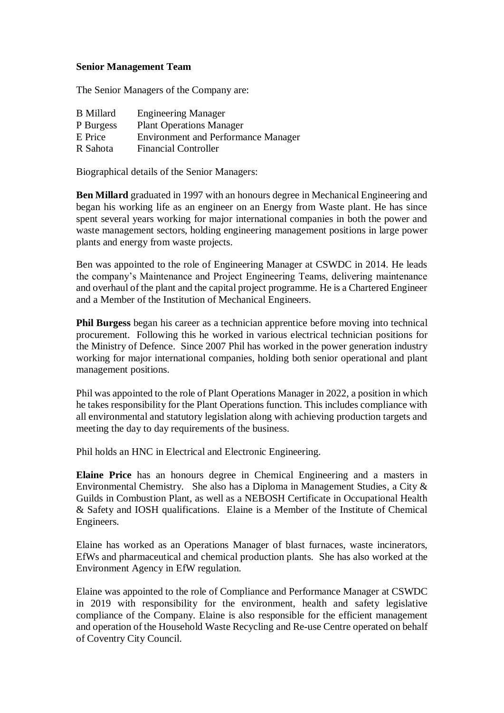## **Senior Management Team**

The Senior Managers of the Company are:

| <b>B</b> Millard | <b>Engineering Manager</b>                 |
|------------------|--------------------------------------------|
| P Burgess        | <b>Plant Operations Manager</b>            |
| E Price          | <b>Environment and Performance Manager</b> |
| R Sahota         | <b>Financial Controller</b>                |

Biographical details of the Senior Managers:

**Ben Millard** graduated in 1997 with an honours degree in Mechanical Engineering and began his working life as an engineer on an Energy from Waste plant. He has since spent several years working for major international companies in both the power and waste management sectors, holding engineering management positions in large power plants and energy from waste projects.

Ben was appointed to the role of Engineering Manager at CSWDC in 2014. He leads the company's Maintenance and Project Engineering Teams, delivering maintenance and overhaul of the plant and the capital project programme. He is a Chartered Engineer and a Member of the Institution of Mechanical Engineers.

**Phil Burgess** began his career as a technician apprentice before moving into technical procurement. Following this he worked in various electrical technician positions for the Ministry of Defence. Since 2007 Phil has worked in the power generation industry working for major international companies, holding both senior operational and plant management positions.

Phil was appointed to the role of Plant Operations Manager in 2022, a position in which he takes responsibility for the Plant Operations function. This includes compliance with all environmental and statutory legislation along with achieving production targets and meeting the day to day requirements of the business.

Phil holds an HNC in Electrical and Electronic Engineering.

**Elaine Price** has an honours degree in Chemical Engineering and a masters in Environmental Chemistry. She also has a Diploma in Management Studies, a City & Guilds in Combustion Plant, as well as a NEBOSH Certificate in Occupational Health & Safety and IOSH qualifications. Elaine is a Member of the Institute of Chemical Engineers.

Elaine has worked as an Operations Manager of blast furnaces, waste incinerators, EfWs and pharmaceutical and chemical production plants. She has also worked at the Environment Agency in EfW regulation.

Elaine was appointed to the role of Compliance and Performance Manager at CSWDC in 2019 with responsibility for the environment, health and safety legislative compliance of the Company. Elaine is also responsible for the efficient management and operation of the Household Waste Recycling and Re-use Centre operated on behalf of Coventry City Council.